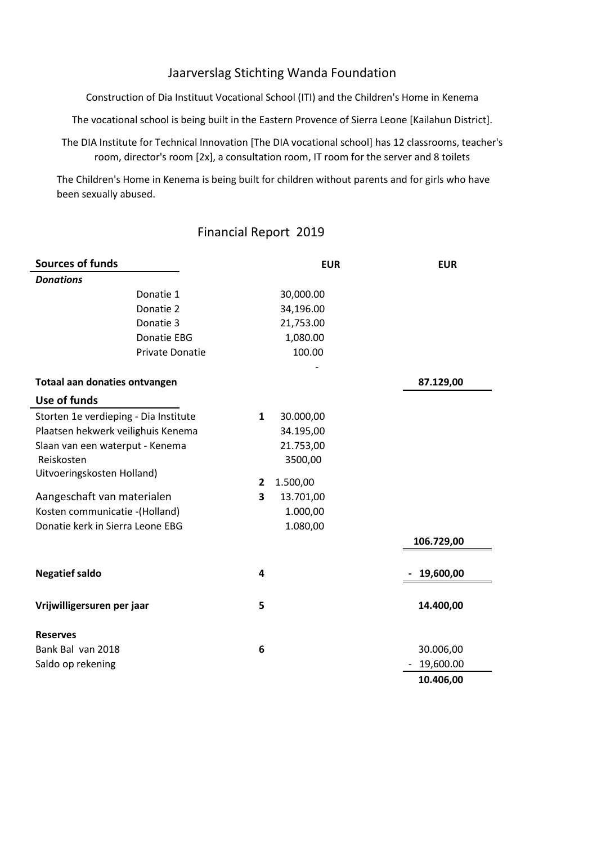## Jaarverslag Stichting Wanda Foundation

Construction of Dia Instituut Vocational School (ITI) and the Children's Home in Kenema

The vocational school is being built in the Eastern Provence of Sierra Leone [Kailahun District].

The DIA Institute for Technical Innovation [The DIA vocational school] has 12 classrooms, teacher's room, director's room [2x], a consultation room, IT room for the server and 8 toilets

The Children's Home in Kenema is being built for children without parents and for girls who have been sexually abused.

## Financial Report 2019

| <b>Sources of funds</b>               |              | <b>EUR</b> | <b>EUR</b> |
|---------------------------------------|--------------|------------|------------|
| <b>Donations</b>                      |              |            |            |
| Donatie 1                             |              | 30,000.00  |            |
| Donatie 2                             |              | 34,196.00  |            |
| Donatie 3                             |              | 21,753.00  |            |
| Donatie EBG                           |              | 1,080.00   |            |
| <b>Private Donatie</b>                |              | 100.00     |            |
| Totaal aan donaties ontvangen         |              |            | 87.129,00  |
| Use of funds                          |              |            |            |
| Storten 1e verdieping - Dia Institute | $\mathbf{1}$ | 30.000,00  |            |
| Plaatsen hekwerk veilighuis Kenema    |              | 34.195,00  |            |
| Slaan van een waterput - Kenema       |              | 21.753,00  |            |
| Reiskosten                            |              | 3500,00    |            |
| Uitvoeringskosten Holland)            | $\mathbf{2}$ | 1.500,00   |            |
| Aangeschaft van materialen            | 3            | 13.701,00  |            |
| Kosten communicatie - (Holland)       |              | 1.000,00   |            |
| Donatie kerk in Sierra Leone EBG      |              | 1.080,00   |            |
|                                       |              |            | 106.729,00 |
| <b>Negatief saldo</b>                 | 4            |            | 19,600,00  |
| Vrijwilligersuren per jaar            | 5            |            | 14.400,00  |
| <b>Reserves</b>                       |              |            |            |
| Bank Bal van 2018                     | 6            |            | 30.006,00  |
| Saldo op rekening                     |              |            | 19,600.00  |
|                                       |              |            | 10.406,00  |